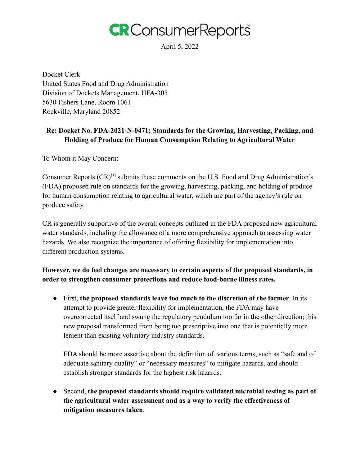

April 5, 2022

Docket Clerk United States Food and Drug Administration Division of Dockets Management, HFA-305 5630 Fishers Lane, Room 1061 Rockville, Maryland 20852

# **Re: Docket No. FDA-2021-N-0471; Standards for the Growing, Harvesting, Packing, and Holding of Produce for Human Consumption Relating to Agricultural Water**

To Whom it May Concern:

Consumer Reports (CR)[1] submits these comments on the U.S. Food and Drug Administration's (FDA) proposed rule on standards for the growing, harvesting, packing, and holding of produce for human consumption relating to agricultural water, which are part of the agency's rule on produce safety.

CR is generally supportive of the overall concepts outlined in the FDA proposed new agricultural water standards, including the allowance of a more comprehensive approach to assessing water hazards. We also recognize the importance of offering flexibility for implementation into different production systems.

# **However, we do feel changes are necessary to certain aspects of the proposed standards, in order to strengthen consumer protections and reduce food-borne illness rates.**

● First, **the proposed standards leave too much to the discretion of the farmer**. In its attempt to provide greater flexibility for implementation, the FDA may have overcorrected itself and swung the regulatory pendulum too far in the other direction; this new proposal transformed from being too prescriptive into one that is potentially more lenient than existing voluntary industry standards.

FDA should be more assertive about the definition of various terms, such as "safe and of adequate sanitary quality" or "necessary measures" to mitigate hazards, and should establish stronger standards for the highest risk hazards.

● Second, **the proposed standards should require validated microbial testing as part of the agricultural water assessment and as a way to verify the effectiveness of mitigation measures taken**.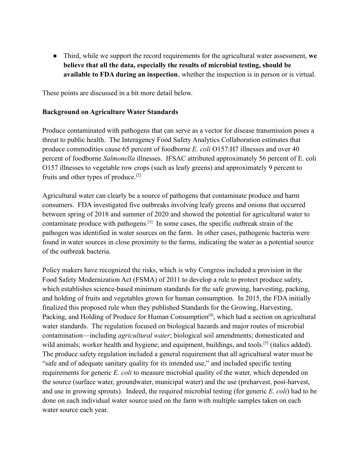● Third, while we support the record requirements for the agricultural water assessment, **we believe that all the data, especially the results of microbial testing, should be available to FDA during an inspection**, whether the inspection is in person or is virtual.

These points are discussed in a bit more detail below.

#### **Background on Agriculture Water Standards**

Produce contaminated with pathogens that can serve as a vector for disease transmission poses a threat to public health. The Interagency Food Safety Analytics Collaboration estimates that produce commodities cause 65 percent of foodborne *E. coli* O157:H7 illnesses and over 40 percent of foodborne *Salmonella* illnesses. IFSAC attributed approximately 56 percent of E. coli O157 illnesses to vegetable row crops (such as leafy greens) and approximately 9 percent to fruits and other types of produce.[2]

Agricultural water can clearly be a source of pathogens that contaminate produce and harm consumers. FDA investigated five outbreaks involving leafy greens and onions that occurred between spring of 2018 and summer of 2020 and showed the potential for agricultural water to contaminate produce with pathogens.<sup>[3]</sup> In some cases, the specific outbreak strain of the pathogen was identified in water sources on the farm. In other cases, pathogenic bacteria were found in water sources in close proximity to the farms, indicating the water as a potential source of the outbreak bacteria.

Policy makers have recognized the risks, which is why Congress included a provision in the Food Safety Modernization Act (FSMA) of 2011 to develop a rule to protect produce safety, which establishes science-based minimum standards for the safe growing, harvesting, packing, and holding of fruits and vegetables grown for human consumption. In 2015, the FDA initially finalized this proposed rule when they published Standards for the Growing, Harvesting, Packing, and Holding of Produce for Human Consumption<sup>[4]</sup>, which had a section on agricultural water standards. The regulation focused on biological hazards and major routes of microbial contamination—including *agricultural water*; biological soil amendments; domesticated and wild animals; worker health and hygiene; and equipment, buildings, and tools.<sup>[5]</sup> (italics added). The produce safety regulation included a general requirement that all agricultural water must be "safe and of adequate sanitary quality for its intended use," and included specific testing requirements for generic *E. coli* to measure microbial quality of the water, which depended on the source (surface water, groundwater, municipal water) and the use (preharvest, post-harvest, and use in growing sprouts). Indeed, the required microbial testing (for generic *E. coli*) had to be done on each individual water source used on the farm with multiple samples taken on each water source each year.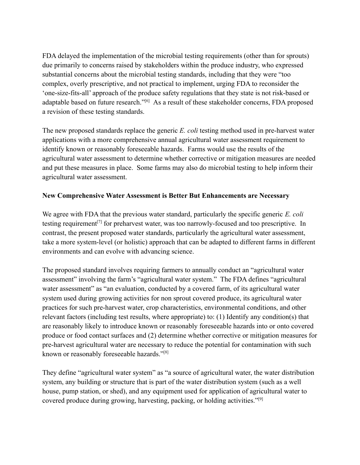FDA delayed the implementation of the microbial testing requirements (other than for sprouts) due primarily to concerns raised by stakeholders within the produce industry, who expressed substantial concerns about the microbial testing standards, including that they were "too complex, overly prescriptive, and not practical to implement, urging FDA to reconsider the 'one-size-fits-all' approach of the produce safety regulations that they state is not risk-based or adaptable based on future research."<sup>[6]</sup> As a result of these stakeholder concerns, FDA proposed a revision of these testing standards.

The new proposed standards replace the generic *E. coli* testing method used in pre-harvest water applications with a more comprehensive annual agricultural water assessment requirement to identify known or reasonably foreseeable hazards. Farms would use the results of the agricultural water assessment to determine whether corrective or mitigation measures are needed and put these measures in place. Some farms may also do microbial testing to help inform their agricultural water assessment.

### **New Comprehensive Water Assessment is Better But Enhancements are Necessary**

We agree with FDA that the previous water standard, particularly the specific generic *E. coli* testing requirement<sup>[7]</sup> for preharvest water, was too narrowly-focused and too prescriptive. In contrast, the present proposed water standards, particularly the agricultural water assessment, take a more system-level (or holistic) approach that can be adapted to different farms in different environments and can evolve with advancing science.

The proposed standard involves requiring farmers to annually conduct an "agricultural water assessment" involving the farm's "agricultural water system." The FDA defines "agricultural water assessment" as "an evaluation, conducted by a covered farm, of its agricultural water system used during growing activities for non sprout covered produce, its agricultural water practices for such pre-harvest water, crop characteristics, environmental conditions, and other relevant factors (including test results, where appropriate) to: (1) Identify any condition(s) that are reasonably likely to introduce known or reasonably foreseeable hazards into or onto covered produce or food contact surfaces and (2) determine whether corrective or mitigation measures for pre-harvest agricultural water are necessary to reduce the potential for contamination with such known or reasonably foreseeable hazards."[8]

They define "agricultural water system" as "a source of agricultural water, the water distribution system, any building or structure that is part of the water distribution system (such as a well house, pump station, or shed), and any equipment used for application of agricultural water to covered produce during growing, harvesting, packing, or holding activities."[9]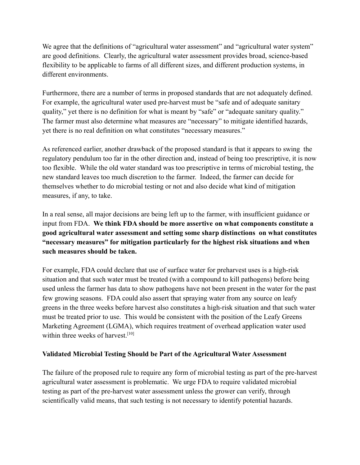We agree that the definitions of "agricultural water assessment" and "agricultural water system" are good definitions. Clearly, the agricultural water assessment provides broad, science-based flexibility to be applicable to farms of all different sizes, and different production systems, in different environments.

Furthermore, there are a number of terms in proposed standards that are not adequately defined. For example, the agricultural water used pre-harvest must be "safe and of adequate sanitary quality," yet there is no definition for what is meant by "safe" or "adequate sanitary quality." The farmer must also determine what measures are "necessary" to mitigate identified hazards, yet there is no real definition on what constitutes "necessary measures."

As referenced earlier, another drawback of the proposed standard is that it appears to swing the regulatory pendulum too far in the other direction and, instead of being too prescriptive, it is now too flexible. While the old water standard was too prescriptive in terms of microbial testing, the new standard leaves too much discretion to the farmer. Indeed, the farmer can decide for themselves whether to do microbial testing or not and also decide what kind of mitigation measures, if any, to take.

In a real sense, all major decisions are being left up to the farmer, with insufficient guidance or input from FDA. **We think FDA should be more assertive on what components constitute a good agricultural water assessment and setting some sharp distinctions on what constitutes "necessary measures" for mitigation particularly for the highest risk situations and when such measures should be taken.**

For example, FDA could declare that use of surface water for preharvest uses is a high-risk situation and that such water must be treated (with a compound to kill pathogens) before being used unless the farmer has data to show pathogens have not been present in the water for the past few growing seasons. FDA could also assert that spraying water from any source on leafy greens in the three weeks before harvest also constitutes a high-risk situation and that such water must be treated prior to use. This would be consistent with the position of the Leafy Greens Marketing Agreement (LGMA), which requires treatment of overhead application water used within three weeks of harvest.<sup>[10]</sup>

#### **Validated Microbial Testing Should be Part of the Agricultural Water Assessment**

The failure of the proposed rule to require any form of microbial testing as part of the pre-harvest agricultural water assessment is problematic. We urge FDA to require validated microbial testing as part of the pre-harvest water assessment unless the grower can verify, through scientifically valid means, that such testing is not necessary to identify potential hazards.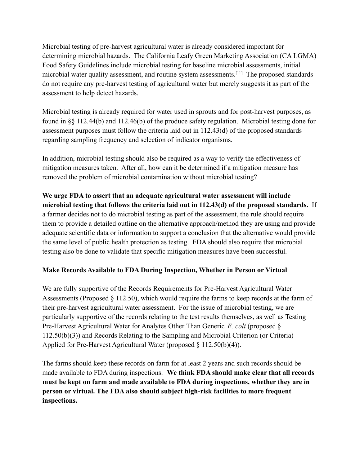Microbial testing of pre-harvest agricultural water is already considered important for determining microbial hazards. The California Leafy Green Marketing Association (CA LGMA) Food Safety Guidelines include microbial testing for baseline microbial assessments, initial microbial water quality assessment, and routine system assessments.[11] The proposed standards do not require any pre-harvest testing of agricultural water but merely suggests it as part of the assessment to help detect hazards.

Microbial testing is already required for water used in sprouts and for post-harvest purposes, as found in §§ 112.44(b) and 112.46(b) of the produce safety regulation. Microbial testing done for assessment purposes must follow the criteria laid out in 112.43(d) of the proposed standards regarding sampling frequency and selection of indicator organisms.

In addition, microbial testing should also be required as a way to verify the effectiveness of mitigation measures taken. After all, how can it be determined if a mitigation measure has removed the problem of microbial contamination without microbial testing?

**We urge FDA to assert that an adequate agricultural water assessment will include microbial testing that follows the criteria laid out in 112.43(d) of the proposed standards.** If a farmer decides not to do microbial testing as part of the assessment, the rule should require them to provide a detailed outline on the alternative approach/method they are using and provide adequate scientific data or information to support a conclusion that the alternative would provide the same level of public health protection as testing. FDA should also require that microbial testing also be done to validate that specific mitigation measures have been successful.

# **Make Records Available to FDA During Inspection, Whether in Person or Virtual**

We are fully supportive of the Records Requirements for Pre-Harvest Agricultural Water Assessments (Proposed § 112.50), which would require the farms to keep records at the farm of their pre-harvest agricultural water assessment. For the issue of microbial testing, we are particularly supportive of the records relating to the test results themselves, as well as Testing Pre-Harvest Agricultural Water for Analytes Other Than Generic *E. coli* (proposed § 112.50(b)(3)) and Records Relating to the Sampling and Microbial Criterion (or Criteria) Applied for Pre-Harvest Agricultural Water (proposed § 112.50(b)(4)).

The farms should keep these records on farm for at least 2 years and such records should be made available to FDA during inspections. **We think FDA should make clear that all records must be kept on farm and made available to FDA during inspections, whether they are in person or virtual. The FDA also should subject high-risk facilities to more frequent inspections.**